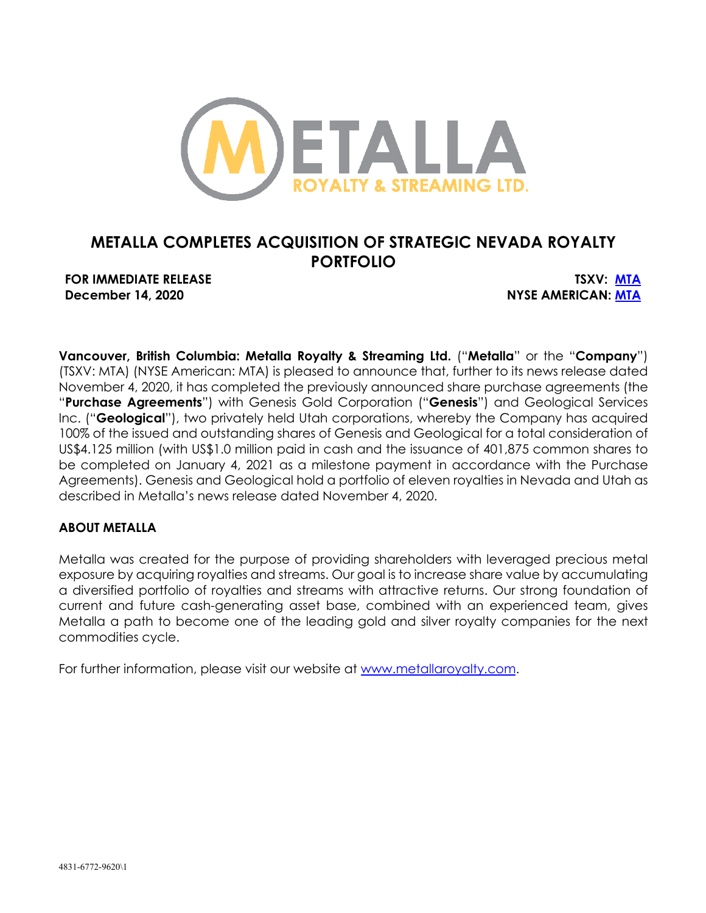

# **METALLA COMPLETES ACQUISITION OF STRATEGIC NEVADA ROYALTY PORTFOLIO**

**FOR IMMEDIATE RELEASE TSXV: MTA December 14, 2020 NYSE AMERICAN: MTA**

**Vancouver, British Columbia: Metalla Royalty & Streaming Ltd.** ("**Metalla**" or the "**Company**") (TSXV: MTA) (NYSE American: MTA) is pleased to announce that, further to its news release dated November 4, 2020, it has completed the previously announced share purchase agreements (the "**Purchase Agreements**") with Genesis Gold Corporation ("**Genesis**") and Geological Services Inc. ("**Geological**"), two privately held Utah corporations, whereby the Company has acquired 100% of the issued and outstanding shares of Genesis and Geological for a total consideration of US\$4.125 million (with US\$1.0 million paid in cash and the issuance of 401,875 common shares to be completed on January 4, 2021 as a milestone payment in accordance with the Purchase Agreements). Genesis and Geological hold a portfolio of eleven royalties in Nevada and Utah as described in Metalla's news release dated November 4, 2020.

# **ABOUT METALLA**

Metalla was created for the purpose of providing shareholders with leveraged precious metal exposure by acquiring royalties and streams. Our goal is to increase share value by accumulating a diversified portfolio of royalties and streams with attractive returns. Our strong foundation of current and future cash-generating asset base, combined with an experienced team, gives Metalla a path to become one of the leading gold and silver royalty companies for the next commodities cycle.

For further information, please visit our website at www.metallaroyalty.com.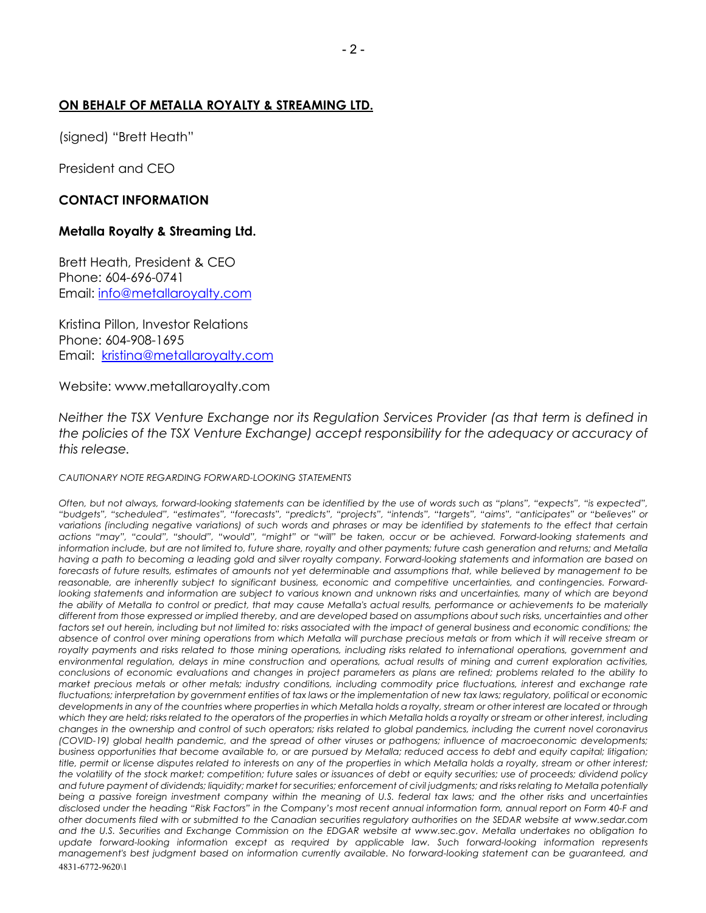## **ON BEHALF OF METALLA ROYALTY & STREAMING LTD.**

(signed) "Brett Heath"

President and CEO

## **CONTACT INFORMATION**

### **Metalla Royalty & Streaming Ltd.**

Brett Heath, President & CEO Phone: 604-696-0741 Email: info@metallaroyalty.com

Kristina Pillon, Investor Relations Phone: 604-908-1695 Email: kristina@metallaroyalty.com

#### Website: www.metallaroyalty.com

*Neither the TSX Venture Exchange nor its Regulation Services Provider (as that term is defined in the policies of the TSX Venture Exchange) accept responsibility for the adequacy or accuracy of this release.*

#### *CAUTIONARY NOTE REGARDING FORWARD-LOOKING STATEMENTS*

4831-6772-9620\1 *Often, but not always, forward-looking statements can be identified by the use of words such as "plans", "expects", "is expected", "budgets", "scheduled", "estimates", "forecasts", "predicts", "projects", "intends", "targets", "aims", "anticipates" or "believes" or variations (including negative variations) of such words and phrases or may be identified by statements to the effect that certain actions "may", "could", "should", "would", "might" or "will" be taken, occur or be achieved. Forward-looking statements and information include, but are not limited to, future share, royalty and other payments; future cash generation and returns; and Metalla having a path to becoming a leading gold and silver royalty company. Forward-looking statements and information are based on forecasts of future results, estimates of amounts not yet determinable and assumptions that, while believed by management to be reasonable, are inherently subject to significant business, economic and competitive uncertainties, and contingencies. Forwardlooking statements and information are subject to various known and unknown risks and uncertainties, many of which are beyond the ability of Metalla to control or predict, that may cause Metalla's actual results, performance or achievements to be materially different from those expressed or implied thereby, and are developed based on assumptions about such risks, uncertainties and other*  factors set out herein, including but not limited to: risks associated with the impact of general business and economic conditions; the *absence of control over mining operations from which Metalla will purchase precious metals or from which it will receive stream or royalty payments and risks related to those mining operations, including risks related to international operations, government and environmental regulation, delays in mine construction and operations, actual results of mining and current exploration activities, conclusions of economic evaluations and changes in project parameters as plans are refined; problems related to the ability to market precious metals or other metals; industry conditions, including commodity price fluctuations, interest and exchange rate fluctuations; interpretation by government entities of tax laws or the implementation of new tax laws; regulatory, political or economic developments in any of the countries where properties in which Metalla holds a royalty, stream or other interest are located or through which they are held; risks related to the operators of the properties in which Metalla holds a royalty or stream or other interest, including changes in the ownership and control of such operators; risks related to global pandemics, including the current novel coronavirus (COVID-19) global health pandemic, and the spread of other viruses or pathogens; influence of macroeconomic developments; business opportunities that become available to, or are pursued by Metalla; reduced access to debt and equity capital; litigation; title, permit or license disputes related to interests on any of the properties in which Metalla holds a royalty, stream or other interest; the volatility of the stock market; competition; future sales or issuances of debt or equity securities; use of proceeds; dividend policy and future payment of dividends; liquidity; market for securities; enforcement of civil judgments; and risks relating to Metalla potentially being a passive foreign investment company within the meaning of U.S. federal tax laws; and the other risks and uncertainties disclosed under the heading "Risk Factors" in the Company's most recent annual information form, annual report on Form 40-F and other documents filed with or submitted to the Canadian securities regulatory authorities on the SEDAR website at www.sedar.com and the U.S. Securities and Exchange Commission on the EDGAR website at www.sec.gov. Metalla undertakes no obligation to*  update forward-looking information except as required by applicable law. Such forward-looking information represents *management's best judgment based on information currently available. No forward-looking statement can be guaranteed, and*